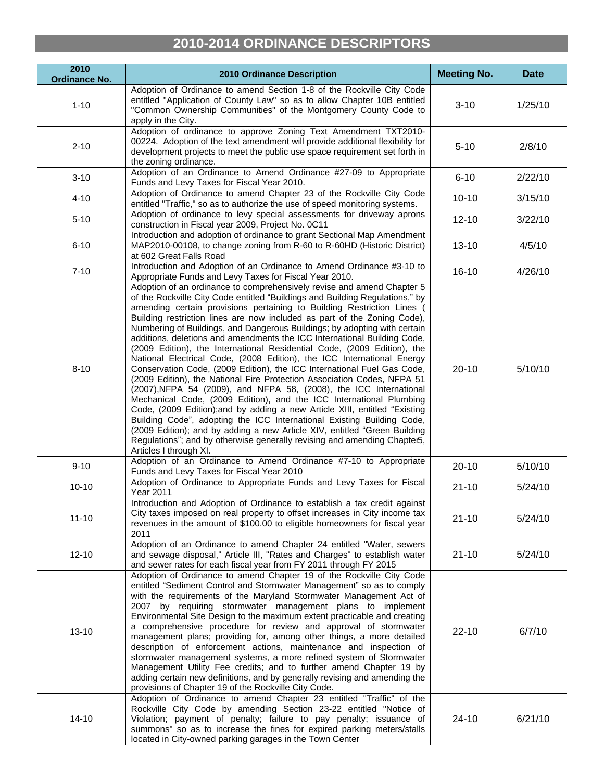## **2010-2014 ORDINANCE DESCRIPTORS**

| 2010<br><b>Ordinance No.</b> | 2010 Ordinance Description                                                                                                                                                                                                                                                                                                                                                                                                                                                                                                                                                                                                                                                                                                                                                                                                                                                                                                                                                                                                                                                                                                                                                                                                                                               | <b>Meeting No.</b> | <b>Date</b> |
|------------------------------|--------------------------------------------------------------------------------------------------------------------------------------------------------------------------------------------------------------------------------------------------------------------------------------------------------------------------------------------------------------------------------------------------------------------------------------------------------------------------------------------------------------------------------------------------------------------------------------------------------------------------------------------------------------------------------------------------------------------------------------------------------------------------------------------------------------------------------------------------------------------------------------------------------------------------------------------------------------------------------------------------------------------------------------------------------------------------------------------------------------------------------------------------------------------------------------------------------------------------------------------------------------------------|--------------------|-------------|
| $1 - 10$                     | Adoption of Ordinance to amend Section 1-8 of the Rockville City Code<br>entitled "Application of County Law" so as to allow Chapter 10B entitled<br>"Common Ownership Communities" of the Montgomery County Code to<br>apply in the City.                                                                                                                                                                                                                                                                                                                                                                                                                                                                                                                                                                                                                                                                                                                                                                                                                                                                                                                                                                                                                               | $3 - 10$           | 1/25/10     |
| $2 - 10$                     | Adoption of ordinance to approve Zoning Text Amendment TXT2010-<br>00224. Adoption of the text amendment will provide additional flexibility for<br>development projects to meet the public use space requirement set forth in<br>the zoning ordinance.                                                                                                                                                                                                                                                                                                                                                                                                                                                                                                                                                                                                                                                                                                                                                                                                                                                                                                                                                                                                                  | $5 - 10$           | 2/8/10      |
| $3 - 10$                     | Adoption of an Ordinance to Amend Ordinance #27-09 to Appropriate<br>Funds and Levy Taxes for Fiscal Year 2010.                                                                                                                                                                                                                                                                                                                                                                                                                                                                                                                                                                                                                                                                                                                                                                                                                                                                                                                                                                                                                                                                                                                                                          | $6 - 10$           | 2/22/10     |
| $4 - 10$                     | Adoption of Ordinance to amend Chapter 23 of the Rockville City Code<br>entitled "Traffic," so as to authorize the use of speed monitoring systems.                                                                                                                                                                                                                                                                                                                                                                                                                                                                                                                                                                                                                                                                                                                                                                                                                                                                                                                                                                                                                                                                                                                      | $10 - 10$          | 3/15/10     |
| $5 - 10$                     | Adoption of ordinance to levy special assessments for driveway aprons<br>construction in Fiscal year 2009, Project No. 0C11                                                                                                                                                                                                                                                                                                                                                                                                                                                                                                                                                                                                                                                                                                                                                                                                                                                                                                                                                                                                                                                                                                                                              | $12 - 10$          | 3/22/10     |
| $6 - 10$                     | Introduction and adoption of ordinance to grant Sectional Map Amendment<br>MAP2010-00108, to change zoning from R-60 to R-60HD (Historic District)<br>at 602 Great Falls Road                                                                                                                                                                                                                                                                                                                                                                                                                                                                                                                                                                                                                                                                                                                                                                                                                                                                                                                                                                                                                                                                                            | $13 - 10$          | 4/5/10      |
| $7 - 10$                     | Introduction and Adoption of an Ordinance to Amend Ordinance #3-10 to<br>Appropriate Funds and Levy Taxes for Fiscal Year 2010.                                                                                                                                                                                                                                                                                                                                                                                                                                                                                                                                                                                                                                                                                                                                                                                                                                                                                                                                                                                                                                                                                                                                          | $16 - 10$          | 4/26/10     |
| $8 - 10$                     | Adoption of an ordinance to comprehensively revise and amend Chapter 5<br>of the Rockville City Code entitled "Buildings and Building Regulations," by<br>amending certain provisions pertaining to Building Restriction Lines (<br>Building restriction lines are now included as part of the Zoning Code),<br>Numbering of Buildings, and Dangerous Buildings; by adopting with certain<br>additions, deletions and amendments the ICC International Building Code,<br>(2009 Edition), the International Residential Code, (2009 Edition), the<br>National Electrical Code, (2008 Edition), the ICC International Energy<br>Conservation Code, (2009 Edition), the ICC International Fuel Gas Code,<br>(2009 Edition), the National Fire Protection Association Codes, NFPA 51<br>(2007), NFPA 54 (2009), and NFPA 58, (2008), the ICC International<br>Mechanical Code, (2009 Edition), and the ICC International Plumbing<br>Code, (2009 Edition); and by adding a new Article XIII, entitled "Existing<br>Building Code", adopting the ICC International Existing Building Code,<br>(2009 Edition); and by adding a new Article XIV, entitled "Green Building<br>Regulations"; and by otherwise generally revising and amending Chapter5,<br>Articles I through XI. | $20 - 10$          | 5/10/10     |
| $9 - 10$                     | Adoption of an Ordinance to Amend Ordinance #7-10 to Appropriate<br>Funds and Levy Taxes for Fiscal Year 2010                                                                                                                                                                                                                                                                                                                                                                                                                                                                                                                                                                                                                                                                                                                                                                                                                                                                                                                                                                                                                                                                                                                                                            | $20 - 10$          | 5/10/10     |
| $10 - 10$                    | Adoption of Ordinance to Appropriate Funds and Levy Taxes for Fiscal<br><b>Year 2011</b>                                                                                                                                                                                                                                                                                                                                                                                                                                                                                                                                                                                                                                                                                                                                                                                                                                                                                                                                                                                                                                                                                                                                                                                 | $21 - 10$          | 5/24/10     |
| $11 - 10$                    | Introduction and Adoption of Ordinance to establish a tax credit against<br>City taxes imposed on real property to offset increases in City income tax<br>revenues in the amount of \$100.00 to eligible homeowners for fiscal year<br>2011                                                                                                                                                                                                                                                                                                                                                                                                                                                                                                                                                                                                                                                                                                                                                                                                                                                                                                                                                                                                                              | $21 - 10$          | 5/24/10     |
| $12 - 10$                    | Adoption of an Ordinance to amend Chapter 24 entitled "Water, sewers<br>and sewage disposal," Article III, "Rates and Charges" to establish water<br>and sewer rates for each fiscal year from FY 2011 through FY 2015                                                                                                                                                                                                                                                                                                                                                                                                                                                                                                                                                                                                                                                                                                                                                                                                                                                                                                                                                                                                                                                   | $21 - 10$          | 5/24/10     |
| $13 - 10$                    | Adoption of Ordinance to amend Chapter 19 of the Rockville City Code<br>entitled "Sediment Control and Stormwater Management" so as to comply<br>with the requirements of the Maryland Stormwater Management Act of<br>2007 by requiring stormwater management plans to implement<br>Environmental Site Design to the maximum extent practicable and creating<br>a comprehensive procedure for review and approval of stormwater<br>management plans; providing for, among other things, a more detailed<br>description of enforcement actions, maintenance and inspection of<br>stormwater management systems, a more refined system of Stormwater<br>Management Utility Fee credits; and to further amend Chapter 19 by<br>adding certain new definitions, and by generally revising and amending the<br>provisions of Chapter 19 of the Rockville City Code.                                                                                                                                                                                                                                                                                                                                                                                                          | $22 - 10$          | 6/7/10      |
| $14 - 10$                    | Adoption of Ordinance to amend Chapter 23 entitled "Traffic" of the<br>Rockville City Code by amending Section 23-22 entitled "Notice of<br>Violation; payment of penalty; failure to pay penalty; issuance of<br>summons" so as to increase the fines for expired parking meters/stalls<br>located in City-owned parking garages in the Town Center                                                                                                                                                                                                                                                                                                                                                                                                                                                                                                                                                                                                                                                                                                                                                                                                                                                                                                                     | $24 - 10$          | 6/21/10     |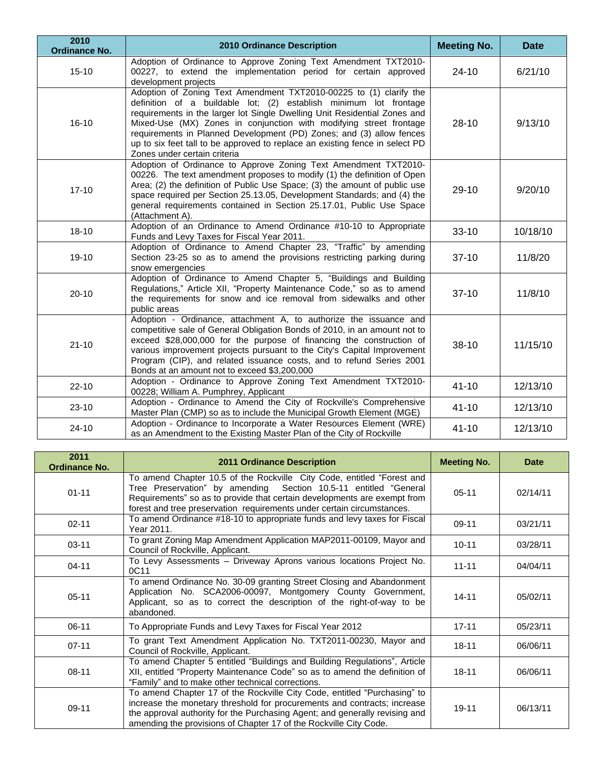| 2010<br><b>Ordinance No.</b> | <b>2010 Ordinance Description</b>                                                                                                                                                                                                                                                                                                                                                                                                                                                  | <b>Meeting No.</b> | <b>Date</b> |
|------------------------------|------------------------------------------------------------------------------------------------------------------------------------------------------------------------------------------------------------------------------------------------------------------------------------------------------------------------------------------------------------------------------------------------------------------------------------------------------------------------------------|--------------------|-------------|
| $15 - 10$                    | Adoption of Ordinance to Approve Zoning Text Amendment TXT2010-<br>00227, to extend the implementation period for certain approved<br>development projects                                                                                                                                                                                                                                                                                                                         | $24 - 10$          | 6/21/10     |
| $16 - 10$                    | Adoption of Zoning Text Amendment TXT2010-00225 to (1) clarify the<br>definition of a buildable lot; (2) establish minimum lot frontage<br>requirements in the larger lot Single Dwelling Unit Residential Zones and<br>Mixed-Use (MX) Zones in conjunction with modifying street frontage<br>requirements in Planned Development (PD) Zones; and (3) allow fences<br>up to six feet tall to be approved to replace an existing fence in select PD<br>Zones under certain criteria | $28-10$            | 9/13/10     |
| $17 - 10$                    | Adoption of Ordinance to Approve Zoning Text Amendment TXT2010-<br>00226. The text amendment proposes to modify (1) the definition of Open<br>Area; (2) the definition of Public Use Space; (3) the amount of public use<br>space required per Section 25.13.05, Development Standards; and (4) the<br>general requirements contained in Section 25.17.01, Public Use Space<br>(Attachment A).                                                                                     | $29 - 10$          | 9/20/10     |
| $18 - 10$                    | Adoption of an Ordinance to Amend Ordinance #10-10 to Appropriate<br>Funds and Levy Taxes for Fiscal Year 2011.                                                                                                                                                                                                                                                                                                                                                                    | $33 - 10$          | 10/18/10    |
| $19 - 10$                    | Adoption of Ordinance to Amend Chapter 23, "Traffic" by amending<br>Section 23-25 so as to amend the provisions restricting parking during<br>snow emergencies                                                                                                                                                                                                                                                                                                                     | $37 - 10$          | 11/8/20     |
| $20 - 10$                    | Adoption of Ordinance to Amend Chapter 5, "Buildings and Building<br>Regulations," Article XII, "Property Maintenance Code," so as to amend<br>the requirements for snow and ice removal from sidewalks and other<br>public areas                                                                                                                                                                                                                                                  | $37-10$            | 11/8/10     |
| $21 - 10$                    | Adoption - Ordinance, attachment A, to authorize the issuance and<br>competitive sale of General Obligation Bonds of 2010, in an amount not to<br>exceed \$28,000,000 for the purpose of financing the construction of<br>various improvement projects pursuant to the City's Capital Improvement<br>Program (CIP), and related issuance costs, and to refund Series 2001<br>Bonds at an amount not to exceed \$3,200,000                                                          | $38-10$            | 11/15/10    |
| $22 - 10$                    | Adoption - Ordinance to Approve Zoning Text Amendment TXT2010-<br>00228; William A. Pumphrey, Applicant                                                                                                                                                                                                                                                                                                                                                                            | $41 - 10$          | 12/13/10    |
| $23 - 10$                    | Adoption - Ordinance to Amend the City of Rockville's Comprehensive<br>Master Plan (CMP) so as to include the Municipal Growth Element (MGE)                                                                                                                                                                                                                                                                                                                                       | $41 - 10$          | 12/13/10    |
| $24 - 10$                    | Adoption - Ordinance to Incorporate a Water Resources Element (WRE)<br>as an Amendment to the Existing Master Plan of the City of Rockville                                                                                                                                                                                                                                                                                                                                        | $41 - 10$          | 12/13/10    |

| 2011<br><b>Ordinance No.</b> | <b>2011 Ordinance Description</b>                                                                                                                                                                                                                                                                        | <b>Meeting No.</b> | <b>Date</b> |
|------------------------------|----------------------------------------------------------------------------------------------------------------------------------------------------------------------------------------------------------------------------------------------------------------------------------------------------------|--------------------|-------------|
| $01 - 11$                    | To amend Chapter 10.5 of the Rockville City Code, entitled "Forest and<br>Tree Preservation" by amending Section 10.5-11 entitled "General<br>Requirements" so as to provide that certain developments are exempt from<br>forest and tree preservation requirements under certain circumstances.         | $05-11$            | 02/14/11    |
| $02 - 11$                    | To amend Ordinance #18-10 to appropriate funds and levy taxes for Fiscal<br>Year 2011.                                                                                                                                                                                                                   | $09-11$            | 03/21/11    |
| $03 - 11$                    | To grant Zoning Map Amendment Application MAP2011-00109, Mayor and<br>Council of Rockville, Applicant.                                                                                                                                                                                                   | $10 - 11$          | 03/28/11    |
| $04 - 11$                    | To Levy Assessments - Driveway Aprons various locations Project No.<br>0C11                                                                                                                                                                                                                              | $11 - 11$          | 04/04/11    |
| $05 - 11$                    | To amend Ordinance No. 30-09 granting Street Closing and Abandonment<br>Application No. SCA2006-00097, Montgomery County Government,<br>Applicant, so as to correct the description of the right-of-way to be<br>abandoned.                                                                              | $14 - 11$          | 05/02/11    |
| $06-11$                      | To Appropriate Funds and Levy Taxes for Fiscal Year 2012                                                                                                                                                                                                                                                 | $17 - 11$          | 05/23/11    |
| $07 - 11$                    | To grant Text Amendment Application No. TXT2011-00230, Mayor and<br>Council of Rockville, Applicant.                                                                                                                                                                                                     | $18 - 11$          | 06/06/11    |
| $08 - 11$                    | To amend Chapter 5 entitled "Buildings and Building Regulations", Article<br>XII, entitled "Property Maintenance Code" so as to amend the definition of<br>"Family" and to make other technical corrections.                                                                                             | $18 - 11$          | 06/06/11    |
| 09-11                        | To amend Chapter 17 of the Rockville City Code, entitled "Purchasing" to<br>increase the monetary threshold for procurements and contracts; increase<br>the approval authority for the Purchasing Agent; and generally revising and<br>amending the provisions of Chapter 17 of the Rockville City Code. | $19 - 11$          | 06/13/11    |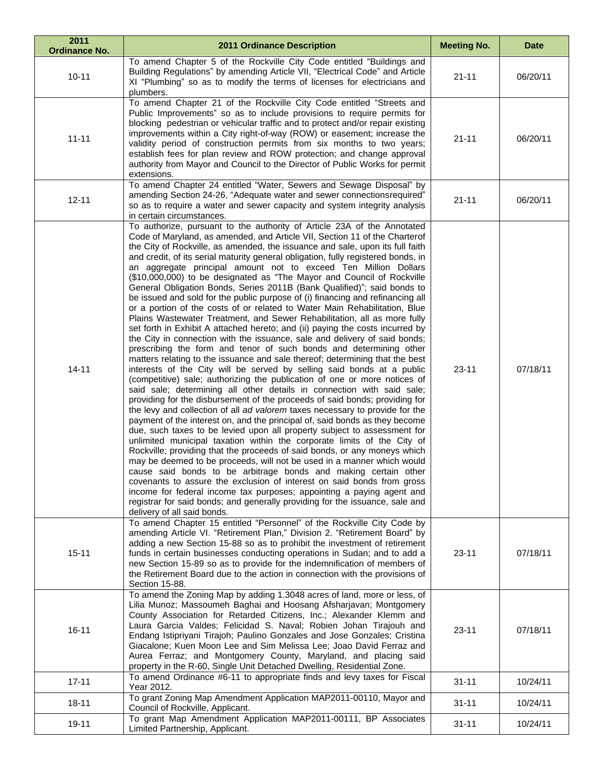| 2011<br><b>Ordinance No.</b> | <b>2011 Ordinance Description</b>                                                                                                                                                                                                                                                                                                                                                                                                                                                                                                                                                                                                                                                                                                                                                                                                                                                                                                                                                                                                                                                                                                                                                                                                                                                                                                                                                                                                                                                                                                                                                                                                                                                                                                                                                                                                                                                                                                                                                                                                                                                                                                                                                                                                                      | <b>Meeting No.</b> | <b>Date</b> |
|------------------------------|--------------------------------------------------------------------------------------------------------------------------------------------------------------------------------------------------------------------------------------------------------------------------------------------------------------------------------------------------------------------------------------------------------------------------------------------------------------------------------------------------------------------------------------------------------------------------------------------------------------------------------------------------------------------------------------------------------------------------------------------------------------------------------------------------------------------------------------------------------------------------------------------------------------------------------------------------------------------------------------------------------------------------------------------------------------------------------------------------------------------------------------------------------------------------------------------------------------------------------------------------------------------------------------------------------------------------------------------------------------------------------------------------------------------------------------------------------------------------------------------------------------------------------------------------------------------------------------------------------------------------------------------------------------------------------------------------------------------------------------------------------------------------------------------------------------------------------------------------------------------------------------------------------------------------------------------------------------------------------------------------------------------------------------------------------------------------------------------------------------------------------------------------------------------------------------------------------------------------------------------------------|--------------------|-------------|
| $10 - 11$                    | To amend Chapter 5 of the Rockville City Code entitled "Buildings and<br>Building Regulations" by amending Article VII, "Electrical Code" and Article<br>XI "Plumbing" so as to modify the terms of licenses for electricians and<br>plumbers.                                                                                                                                                                                                                                                                                                                                                                                                                                                                                                                                                                                                                                                                                                                                                                                                                                                                                                                                                                                                                                                                                                                                                                                                                                                                                                                                                                                                                                                                                                                                                                                                                                                                                                                                                                                                                                                                                                                                                                                                         | $21 - 11$          | 06/20/11    |
| $11 - 11$                    | To amend Chapter 21 of the Rockville City Code entitled "Streets and<br>Public Improvements" so as to include provisions to require permits for<br>blocking pedestrian or vehicular traffic and to protect and/or repair existing<br>improvements within a City right-of-way (ROW) or easement; increase the<br>validity period of construction permits from six months to two years;<br>establish fees for plan review and ROW protection; and change approval<br>authority from Mayor and Council to the Director of Public Works for permit<br>extensions.                                                                                                                                                                                                                                                                                                                                                                                                                                                                                                                                                                                                                                                                                                                                                                                                                                                                                                                                                                                                                                                                                                                                                                                                                                                                                                                                                                                                                                                                                                                                                                                                                                                                                          | $21 - 11$          | 06/20/11    |
| $12 - 11$                    | To amend Chapter 24 entitled "Water, Sewers and Sewage Disposal" by<br>amending Section 24-26, "Adequate water and sewer connections required"<br>so as to require a water and sewer capacity and system integrity analysis<br>in certain circumstances.                                                                                                                                                                                                                                                                                                                                                                                                                                                                                                                                                                                                                                                                                                                                                                                                                                                                                                                                                                                                                                                                                                                                                                                                                                                                                                                                                                                                                                                                                                                                                                                                                                                                                                                                                                                                                                                                                                                                                                                               | $21 - 11$          | 06/20/11    |
| $14 - 11$                    | To authorize, pursuant to the authority of Article 23A of the Annotated<br>Code of Maryland, as amended, and Article VII, Section 11 of the Charterof<br>the City of Rockville, as amended, the issuance and sale, upon its full faith<br>and credit, of its serial maturity general obligation, fully registered bonds, in<br>an aggregate principal amount not to exceed Ten Million Dollars<br>(\$10,000,000) to be designated as "The Mayor and Council of Rockville<br>General Obligation Bonds, Series 2011B (Bank Qualified)"; said bonds to<br>be issued and sold for the public purpose of (i) financing and refinancing all<br>or a portion of the costs of or related to Water Main Rehabilitation, Blue<br>Plains Wastewater Treatment, and Sewer Rehabilitation, all as more fully<br>set forth in Exhibit A attached hereto; and (ii) paying the costs incurred by<br>the City in connection with the issuance, sale and delivery of said bonds;<br>prescribing the form and tenor of such bonds and determining other<br>matters relating to the issuance and sale thereof; determining that the best<br>interests of the City will be served by selling said bonds at a public<br>(competitive) sale; authorizing the publication of one or more notices of<br>said sale; determining all other details in connection with said sale;<br>providing for the disbursement of the proceeds of said bonds; providing for<br>the levy and collection of all ad valorem taxes necessary to provide for the<br>payment of the interest on, and the principal of, said bonds as they become<br>due, such taxes to be levied upon all property subject to assessment for<br>unlimited municipal taxation within the corporate limits of the City of<br>Rockville; providing that the proceeds of said bonds, or any moneys which<br>may be deemed to be proceeds, will not be used in a manner which would<br>cause said bonds to be arbitrage bonds and making certain other<br>covenants to assure the exclusion of interest on said bonds from gross<br>income for federal income tax purposes; appointing a paying agent and<br>registrar for said bonds; and generally providing for the issuance, sale and<br>delivery of all said bonds. | $23 - 11$          | 07/18/11    |
| $15 - 11$                    | To amend Chapter 15 entitled "Personnel" of the Rockville City Code by<br>amending Article VI. "Retirement Plan," Division 2. "Retirement Board" by<br>adding a new Section 15-88 so as to prohibit the investment of retirement<br>funds in certain businesses conducting operations in Sudan; and to add a<br>new Section 15-89 so as to provide for the indemnification of members of<br>the Retirement Board due to the action in connection with the provisions of<br>Section 15-88.                                                                                                                                                                                                                                                                                                                                                                                                                                                                                                                                                                                                                                                                                                                                                                                                                                                                                                                                                                                                                                                                                                                                                                                                                                                                                                                                                                                                                                                                                                                                                                                                                                                                                                                                                              | $23 - 11$          | 07/18/11    |
| $16 - 11$                    | To amend the Zoning Map by adding 1.3048 acres of land, more or less, of<br>Lilia Munoz; Massoumeh Baghai and Hoosang Afsharjavan; Montgomery<br>County Association for Retarded Citizens, Inc.; Alexander Klemm and<br>Laura Garcia Valdes; Felicidad S. Naval; Robien Johan Tirajouh and<br>Endang Istipriyani Tirajoh; Paulino Gonzales and Jose Gonzales; Cristina<br>Giacalone; Kuen Moon Lee and Sim Melissa Lee; Joao David Ferraz and<br>Aurea Ferraz; and Montgomery County, Maryland, and placing said<br>property in the R-60, Single Unit Detached Dwelling, Residential Zone.                                                                                                                                                                                                                                                                                                                                                                                                                                                                                                                                                                                                                                                                                                                                                                                                                                                                                                                                                                                                                                                                                                                                                                                                                                                                                                                                                                                                                                                                                                                                                                                                                                                             | $23 - 11$          | 07/18/11    |
| $17 - 11$                    | To amend Ordinance #6-11 to appropriate finds and levy taxes for Fiscal<br>Year 2012.                                                                                                                                                                                                                                                                                                                                                                                                                                                                                                                                                                                                                                                                                                                                                                                                                                                                                                                                                                                                                                                                                                                                                                                                                                                                                                                                                                                                                                                                                                                                                                                                                                                                                                                                                                                                                                                                                                                                                                                                                                                                                                                                                                  | $31 - 11$          | 10/24/11    |
| $18 - 11$                    | To grant Zoning Map Amendment Application MAP2011-00110, Mayor and<br>Council of Rockville, Applicant.                                                                                                                                                                                                                                                                                                                                                                                                                                                                                                                                                                                                                                                                                                                                                                                                                                                                                                                                                                                                                                                                                                                                                                                                                                                                                                                                                                                                                                                                                                                                                                                                                                                                                                                                                                                                                                                                                                                                                                                                                                                                                                                                                 | $31 - 11$          | 10/24/11    |
| $19 - 11$                    | To grant Map Amendment Application MAP2011-00111, BP Associates<br>Limited Partnership, Applicant.                                                                                                                                                                                                                                                                                                                                                                                                                                                                                                                                                                                                                                                                                                                                                                                                                                                                                                                                                                                                                                                                                                                                                                                                                                                                                                                                                                                                                                                                                                                                                                                                                                                                                                                                                                                                                                                                                                                                                                                                                                                                                                                                                     | $31 - 11$          | 10/24/11    |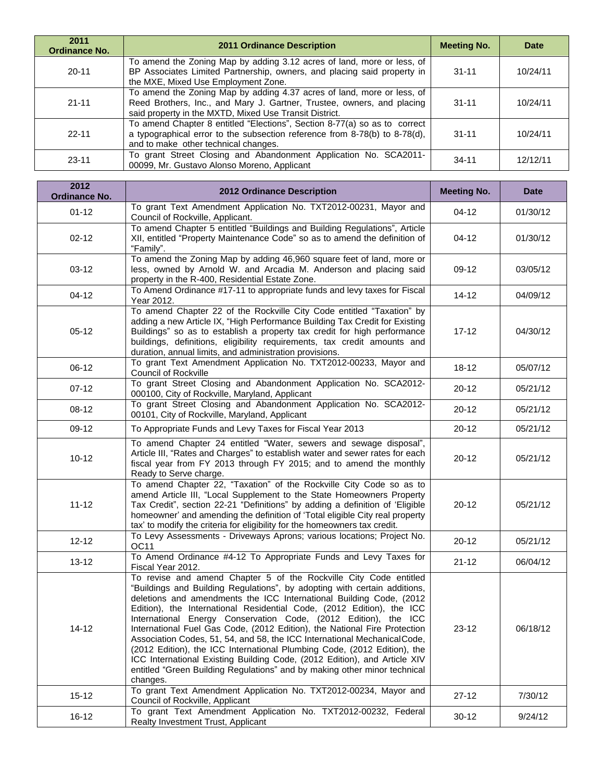| 2011<br><b>Ordinance No.</b> | <b>2011 Ordinance Description</b>                                                                                                                                                                          | <b>Meeting No.</b> | <b>Date</b> |
|------------------------------|------------------------------------------------------------------------------------------------------------------------------------------------------------------------------------------------------------|--------------------|-------------|
| $20 - 11$                    | To amend the Zoning Map by adding 3.12 acres of land, more or less, of<br>BP Associates Limited Partnership, owners, and placing said property in<br>the MXE, Mixed Use Employment Zone.                   | $31 - 11$          | 10/24/11    |
| $21 - 11$                    | To amend the Zoning Map by adding 4.37 acres of land, more or less, of<br>Reed Brothers, Inc., and Mary J. Gartner, Trustee, owners, and placing<br>said property in the MXTD, Mixed Use Transit District. | $31 - 11$          | 10/24/11    |
| $22-11$                      | To amend Chapter 8 entitled "Elections", Section 8-77(a) so as to correct<br>a typographical error to the subsection reference from 8-78(b) to 8-78(d),<br>and to make other technical changes.            | $31 - 11$          | 10/24/11    |
| $23 - 11$                    | To grant Street Closing and Abandonment Application No. SCA2011-<br>00099, Mr. Gustavo Alonso Moreno, Applicant                                                                                            | $34 - 11$          | 12/12/11    |

| 2012<br><b>Ordinance No.</b> | <b>2012 Ordinance Description</b>                                                                                                                                                                                                                                                                                                                                                                                                                                                                                                                                                                                                                                                                                                                                             | <b>Meeting No.</b> | <b>Date</b> |
|------------------------------|-------------------------------------------------------------------------------------------------------------------------------------------------------------------------------------------------------------------------------------------------------------------------------------------------------------------------------------------------------------------------------------------------------------------------------------------------------------------------------------------------------------------------------------------------------------------------------------------------------------------------------------------------------------------------------------------------------------------------------------------------------------------------------|--------------------|-------------|
| $01 - 12$                    | To grant Text Amendment Application No. TXT2012-00231, Mayor and<br>Council of Rockville, Applicant.                                                                                                                                                                                                                                                                                                                                                                                                                                                                                                                                                                                                                                                                          | $04 - 12$          | 01/30/12    |
| $02 - 12$                    | To amend Chapter 5 entitled "Buildings and Building Regulations", Article<br>XII, entitled "Property Maintenance Code" so as to amend the definition of<br>"Family".                                                                                                                                                                                                                                                                                                                                                                                                                                                                                                                                                                                                          | $04-12$            | 01/30/12    |
| $03-12$                      | To amend the Zoning Map by adding 46,960 square feet of land, more or<br>less, owned by Arnold W. and Arcadia M. Anderson and placing said<br>property in the R-400, Residential Estate Zone.                                                                                                                                                                                                                                                                                                                                                                                                                                                                                                                                                                                 | 09-12              | 03/05/12    |
| $04 - 12$                    | To Amend Ordinance #17-11 to appropriate funds and levy taxes for Fiscal<br>Year 2012.                                                                                                                                                                                                                                                                                                                                                                                                                                                                                                                                                                                                                                                                                        | $14 - 12$          | 04/09/12    |
| $05-12$                      | To amend Chapter 22 of the Rockville City Code entitled "Taxation" by<br>adding a new Article IX, "High Performance Building Tax Credit for Existing<br>Buildings" so as to establish a property tax credit for high performance<br>buildings, definitions, eligibility requirements, tax credit amounts and<br>duration, annual limits, and administration provisions.                                                                                                                                                                                                                                                                                                                                                                                                       | $17 - 12$          | 04/30/12    |
| $06-12$                      | To grant Text Amendment Application No. TXT2012-00233, Mayor and<br>Council of Rockville                                                                                                                                                                                                                                                                                                                                                                                                                                                                                                                                                                                                                                                                                      | $18-12$            | 05/07/12    |
| $07-12$                      | To grant Street Closing and Abandonment Application No. SCA2012-<br>000100, City of Rockville, Maryland, Applicant                                                                                                                                                                                                                                                                                                                                                                                                                                                                                                                                                                                                                                                            | $20 - 12$          | 05/21/12    |
| $08-12$                      | To grant Street Closing and Abandonment Application No. SCA2012-<br>00101, City of Rockville, Maryland, Applicant                                                                                                                                                                                                                                                                                                                                                                                                                                                                                                                                                                                                                                                             | $20 - 12$          | 05/21/12    |
| 09-12                        | To Appropriate Funds and Levy Taxes for Fiscal Year 2013                                                                                                                                                                                                                                                                                                                                                                                                                                                                                                                                                                                                                                                                                                                      | $20 - 12$          | 05/21/12    |
| $10 - 12$                    | To amend Chapter 24 entitled "Water, sewers and sewage disposal",<br>Article III, "Rates and Charges" to establish water and sewer rates for each<br>fiscal year from FY 2013 through FY 2015; and to amend the monthly<br>Ready to Serve charge.                                                                                                                                                                                                                                                                                                                                                                                                                                                                                                                             | $20 - 12$          | 05/21/12    |
| $11 - 12$                    | To amend Chapter 22, "Taxation" of the Rockville City Code so as to<br>amend Article III, "Local Supplement to the State Homeowners Property<br>Tax Credit", section 22-21 "Definitions" by adding a definition of 'Eligible<br>homeowner' and amending the definition of 'Total eligible City real property<br>tax' to modify the criteria for eligibility for the homeowners tax credit.                                                                                                                                                                                                                                                                                                                                                                                    | $20 - 12$          | 05/21/12    |
| $12 - 12$                    | To Levy Assessments - Driveways Aprons; various locations; Project No.<br>OC11                                                                                                                                                                                                                                                                                                                                                                                                                                                                                                                                                                                                                                                                                                | $20 - 12$          | 05/21/12    |
| $13 - 12$                    | To Amend Ordinance #4-12 To Appropriate Funds and Levy Taxes for<br>Fiscal Year 2012.                                                                                                                                                                                                                                                                                                                                                                                                                                                                                                                                                                                                                                                                                         | $21 - 12$          | 06/04/12    |
| 14-12                        | To revise and amend Chapter 5 of the Rockville City Code entitled<br>"Buildings and Building Regulations", by adopting with certain additions,<br>deletions and amendments the ICC International Building Code, (2012<br>Edition), the International Residential Code, (2012 Edition), the ICC<br>International Energy Conservation Code, (2012 Edition), the ICC<br>International Fuel Gas Code, (2012 Edition), the National Fire Protection<br>Association Codes, 51, 54, and 58, the ICC International Mechanical Code,<br>(2012 Edition), the ICC International Plumbing Code, (2012 Edition), the<br>ICC International Existing Building Code, (2012 Edition), and Article XIV<br>entitled "Green Building Regulations" and by making other minor technical<br>changes. | $23 - 12$          | 06/18/12    |
| $15 - 12$                    | To grant Text Amendment Application No. TXT2012-00234, Mayor and<br>Council of Rockville, Applicant                                                                                                                                                                                                                                                                                                                                                                                                                                                                                                                                                                                                                                                                           | $27-12$            | 7/30/12     |
| $16 - 12$                    | To grant Text Amendment Application No. TXT2012-00232, Federal<br>Realty Investment Trust, Applicant                                                                                                                                                                                                                                                                                                                                                                                                                                                                                                                                                                                                                                                                          | $30 - 12$          | 9/24/12     |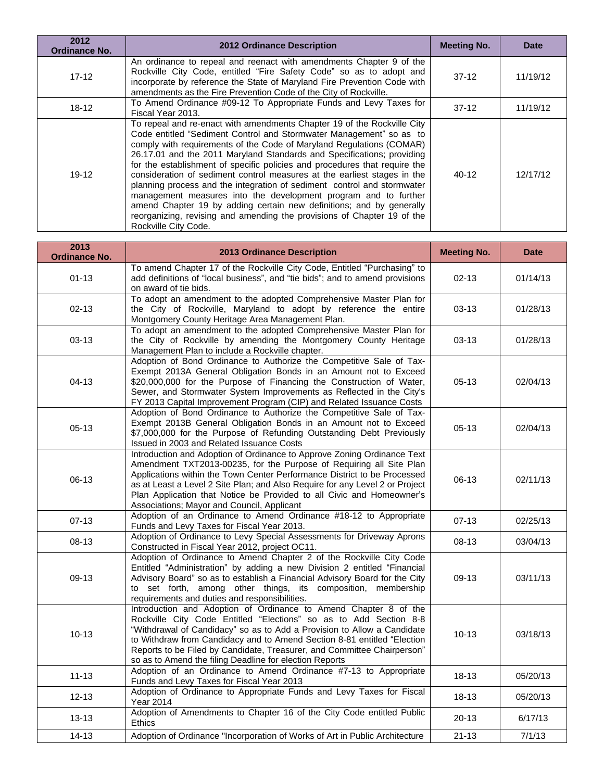| 2012<br><b>Ordinance No.</b> | <b>2012 Ordinance Description</b>                                                                                                                                                                                                                                                                                                                                                                                                                                                                                                                                                                                                                                                                                                                                                   | <b>Meeting No.</b> | <b>Date</b> |
|------------------------------|-------------------------------------------------------------------------------------------------------------------------------------------------------------------------------------------------------------------------------------------------------------------------------------------------------------------------------------------------------------------------------------------------------------------------------------------------------------------------------------------------------------------------------------------------------------------------------------------------------------------------------------------------------------------------------------------------------------------------------------------------------------------------------------|--------------------|-------------|
| $17-12$                      | An ordinance to repeal and reenact with amendments Chapter 9 of the<br>Rockville City Code, entitled "Fire Safety Code" so as to adopt and<br>incorporate by reference the State of Maryland Fire Prevention Code with<br>amendments as the Fire Prevention Code of the City of Rockville.                                                                                                                                                                                                                                                                                                                                                                                                                                                                                          | $37-12$            | 11/19/12    |
| $18 - 12$                    | To Amend Ordinance #09-12 To Appropriate Funds and Levy Taxes for<br>Fiscal Year 2013.                                                                                                                                                                                                                                                                                                                                                                                                                                                                                                                                                                                                                                                                                              | $37-12$            | 11/19/12    |
| $19 - 12$                    | To repeal and re-enact with amendments Chapter 19 of the Rockville City<br>Code entitled "Sediment Control and Stormwater Management" so as to<br>comply with requirements of the Code of Maryland Regulations (COMAR)<br>26.17.01 and the 2011 Maryland Standards and Specifications; providing<br>for the establishment of specific policies and procedures that require the<br>consideration of sediment control measures at the earliest stages in the<br>planning process and the integration of sediment control and stormwater<br>management measures into the development program and to further<br>amend Chapter 19 by adding certain new definitions; and by generally<br>reorganizing, revising and amending the provisions of Chapter 19 of the<br>Rockville City Code. | 40-12              | 12/17/12    |

| 2013<br><b>Ordinance No.</b> | <b>2013 Ordinance Description</b>                                                                                                                                                                                                                                                                                                                                                                                                 | <b>Meeting No.</b> | <b>Date</b> |
|------------------------------|-----------------------------------------------------------------------------------------------------------------------------------------------------------------------------------------------------------------------------------------------------------------------------------------------------------------------------------------------------------------------------------------------------------------------------------|--------------------|-------------|
| $01 - 13$                    | To amend Chapter 17 of the Rockville City Code, Entitled "Purchasing" to<br>add definitions of "local business", and "tie bids"; and to amend provisions<br>on award of tie bids.                                                                                                                                                                                                                                                 | $02 - 13$          | 01/14/13    |
| $02 - 13$                    | To adopt an amendment to the adopted Comprehensive Master Plan for<br>the City of Rockville, Maryland to adopt by reference the entire<br>Montgomery County Heritage Area Management Plan.                                                                                                                                                                                                                                        | $03-13$            | 01/28/13    |
| $03-13$                      | To adopt an amendment to the adopted Comprehensive Master Plan for<br>the City of Rockville by amending the Montgomery County Heritage<br>Management Plan to include a Rockville chapter.                                                                                                                                                                                                                                         | $03 - 13$          | 01/28/13    |
| $04 - 13$                    | Adoption of Bond Ordinance to Authorize the Competitive Sale of Tax-<br>Exempt 2013A General Obligation Bonds in an Amount not to Exceed<br>\$20,000,000 for the Purpose of Financing the Construction of Water,<br>Sewer, and Stormwater System Improvements as Reflected in the City's<br>FY 2013 Capital Improvement Program (CIP) and Related Issuance Costs                                                                  | $05-13$            | 02/04/13    |
| $05-13$                      | Adoption of Bond Ordinance to Authorize the Competitive Sale of Tax-<br>Exempt 2013B General Obligation Bonds in an Amount not to Exceed<br>\$7,000,000 for the Purpose of Refunding Outstanding Debt Previously<br>Issued in 2003 and Related Issuance Costs                                                                                                                                                                     | $05-13$            | 02/04/13    |
| $06-13$                      | Introduction and Adoption of Ordinance to Approve Zoning Ordinance Text<br>Amendment TXT2013-00235, for the Purpose of Requiring all Site Plan<br>Applications within the Town Center Performance District to be Processed<br>as at Least a Level 2 Site Plan; and Also Require for any Level 2 or Project<br>Plan Application that Notice be Provided to all Civic and Homeowner's<br>Associations; Mayor and Council, Applicant | $06-13$            | 02/11/13    |
| $07-13$                      | Adoption of an Ordinance to Amend Ordinance #18-12 to Appropriate<br>Funds and Levy Taxes for Fiscal Year 2013.                                                                                                                                                                                                                                                                                                                   | $07-13$            | 02/25/13    |
| 08-13                        | Adoption of Ordinance to Levy Special Assessments for Driveway Aprons<br>Constructed in Fiscal Year 2012, project OC11.                                                                                                                                                                                                                                                                                                           | 08-13              | 03/04/13    |
| 09-13                        | Adoption of Ordinance to Amend Chapter 2 of the Rockville City Code<br>Entitled "Administration" by adding a new Division 2 entitled "Financial<br>Advisory Board" so as to establish a Financial Advisory Board for the City<br>to set forth, among other things, its composition, membership<br>requirements and duties and responsibilities.                                                                                   | 09-13              | 03/11/13    |
| $10 - 13$                    | Introduction and Adoption of Ordinance to Amend Chapter 8 of the<br>Rockville City Code Entitled "Elections" so as to Add Section 8-8<br>"Withdrawal of Candidacy" so as to Add a Provision to Allow a Candidate<br>to Withdraw from Candidacy and to Amend Section 8-81 entitled "Election<br>Reports to be Filed by Candidate, Treasurer, and Committee Chairperson"<br>so as to Amend the filing Deadline for election Reports | $10-13$            | 03/18/13    |
| $11 - 13$                    | Adoption of an Ordinance to Amend Ordinance #7-13 to Appropriate<br>Funds and Levy Taxes for Fiscal Year 2013                                                                                                                                                                                                                                                                                                                     | $18 - 13$          | 05/20/13    |
| $12 - 13$                    | Adoption of Ordinance to Appropriate Funds and Levy Taxes for Fiscal<br><b>Year 2014</b>                                                                                                                                                                                                                                                                                                                                          | $18 - 13$          | 05/20/13    |
| $13 - 13$                    | Adoption of Amendments to Chapter 16 of the City Code entitled Public<br><b>Ethics</b>                                                                                                                                                                                                                                                                                                                                            | $20-13$            | 6/17/13     |
| $14 - 13$                    | Adoption of Ordinance "Incorporation of Works of Art in Public Architecture                                                                                                                                                                                                                                                                                                                                                       | $21 - 13$          | 7/1/13      |